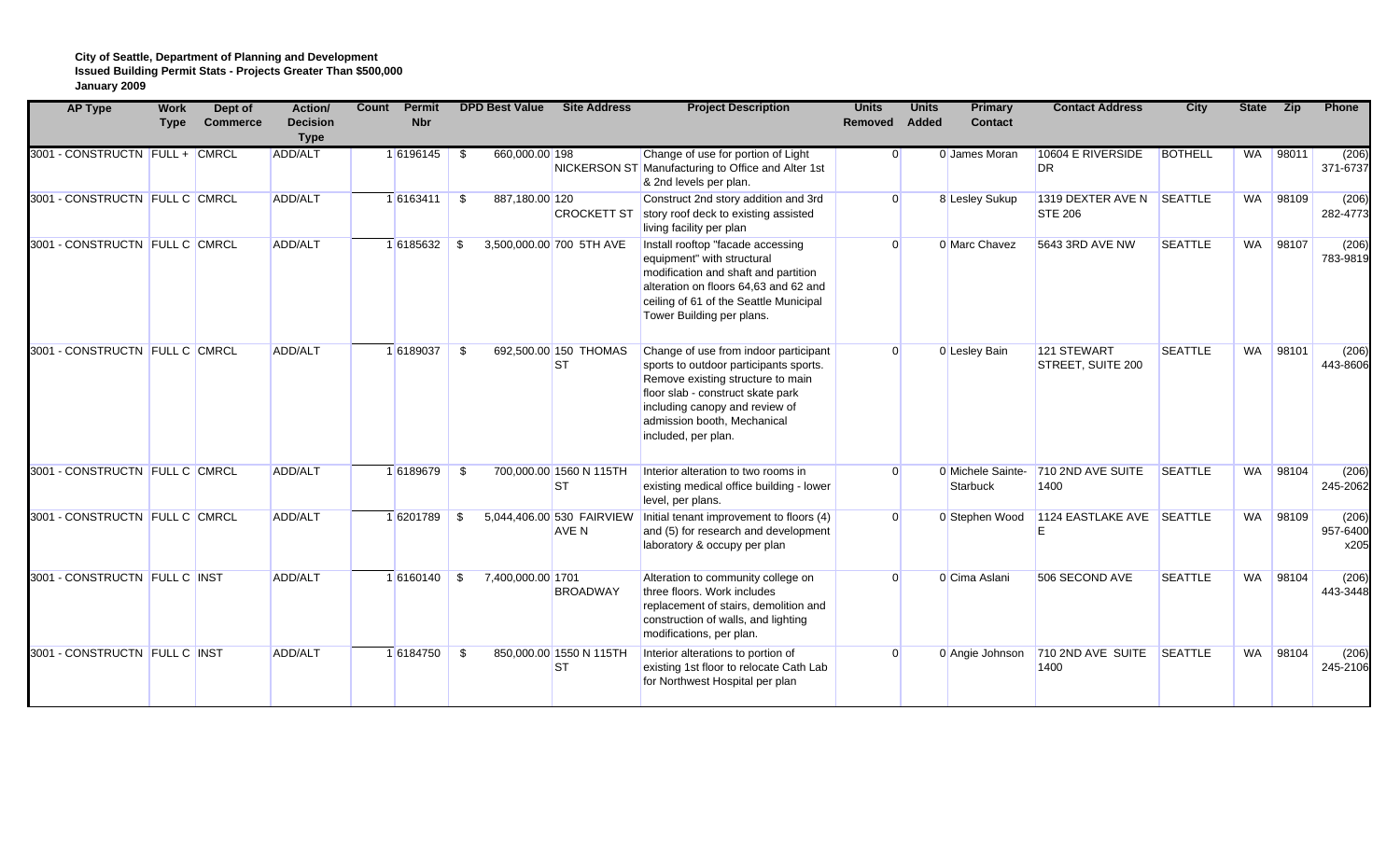| <b>AP Type</b>                 | <b>Work</b><br><b>Type</b> | Dept of<br><b>Commerce</b> | Action/<br><b>Decision</b><br><b>Type</b> | Count | <b>Permit</b><br><b>Nbr</b> |      | <b>DPD Best Value</b> | <b>Site Address</b>                  | <b>Project Description</b>                                                                                                                                                                                                                        | <b>Units</b><br>Removed | <b>Units</b><br>Added | <b>Primary</b><br><b>Contact</b> | <b>Contact Address</b>                      | City           | <b>State</b> | Zip      | Phone                     |
|--------------------------------|----------------------------|----------------------------|-------------------------------------------|-------|-----------------------------|------|-----------------------|--------------------------------------|---------------------------------------------------------------------------------------------------------------------------------------------------------------------------------------------------------------------------------------------------|-------------------------|-----------------------|----------------------------------|---------------------------------------------|----------------|--------------|----------|---------------------------|
| 3001 - CONSTRUCTN FULL + CMRCL |                            |                            | ADD/ALT                                   |       | 16196145                    |      | 660,000.00 198        |                                      | Change of use for portion of Light<br>NICKERSON ST Manufacturing to Office and Alter 1st<br>& 2nd levels per plan.                                                                                                                                | $\Omega$                |                       | 0 James Moran                    | 10604 E RIVERSIDE<br>DR                     | <b>BOTHELL</b> | <b>WA</b>    | 98011    | (206)<br>371-6737         |
| 3001 - CONSTRUCTN FULL C CMRCL |                            |                            | ADD/ALT                                   |       | 16163411                    | - \$ | 887,180.00 120        | <b>CROCKETT ST</b>                   | Construct 2nd story addition and 3rd<br>story roof deck to existing assisted<br>living facility per plan                                                                                                                                          | $\Omega$                |                       | 8 Lesley Sukup                   | 1319 DEXTER AVE N SEATTLE<br><b>STE 206</b> |                |              | WA 98109 | (206)<br>282-4773         |
| 3001 - CONSTRUCTN FULL C CMRCL |                            |                            | ADD/ALT                                   |       | 16185632 \$                 |      |                       | 3,500,000.00 700 5TH AVE             | Install rooftop "facade accessing<br>equipment" with structural<br>modification and shaft and partition<br>alteration on floors 64,63 and 62 and<br>ceiling of 61 of the Seattle Municipal<br>Tower Building per plans.                           | $\Omega$                |                       | 0 Marc Chavez                    | 5643 3RD AVE NW                             | <b>SEATTLE</b> |              | WA 98107 | (206)<br>783-9819         |
| 3001 - CONSTRUCTN FULL C CMRCL |                            |                            | ADD/ALT                                   |       | 16189037                    | -\$  |                       | 692.500.00 150 THOMAS<br><b>ST</b>   | Change of use from indoor participant<br>sports to outdoor participants sports.<br>Remove existing structure to main<br>floor slab - construct skate park<br>including canopy and review of<br>admission booth, Mechanical<br>included, per plan. | $\Omega$                |                       | 0 Lesley Bain                    | 121 STEWART<br>STREET, SUITE 200            | <b>SEATTLE</b> | <b>WA</b>    | 98101    | (206)<br>443-8606         |
| 3001 - CONSTRUCTN FULL C CMRCL |                            |                            | ADD/ALT                                   |       | 16189679                    | -\$  |                       | 700,000.00 1560 N 115TH<br><b>ST</b> | Interior alteration to two rooms in<br>existing medical office building - lower<br>level, per plans.                                                                                                                                              | $\Omega$                |                       | 0 Michele Sainte-<br>Starbuck    | 710 2ND AVE SUITE<br>1400                   | SEATTLE        | <b>WA</b>    | 98104    | (206)<br>245-2062         |
| 3001 - CONSTRUCTN FULL C CMRCL |                            |                            | ADD/ALT                                   |       | 16201789                    | - \$ |                       | 5,044,406.00 530 FAIRVIEW<br>AVE N   | Initial tenant improvement to floors (4)<br>and (5) for research and development<br>laboratory & occupy per plan                                                                                                                                  | $\Omega$                |                       | 0 Stephen Wood                   | 1124 EASTLAKE AVE SEATTLE                   |                | WA           | 98109    | (206)<br>957-6400<br>x205 |
| 3001 - CONSTRUCTN FULL C INST  |                            |                            | ADD/ALT                                   |       | $1 6160140 $ \$             |      | 7,400,000.00 1701     | <b>BROADWAY</b>                      | Alteration to community college on<br>three floors. Work includes<br>replacement of stairs, demolition and<br>construction of walls, and lighting<br>modifications, per plan.                                                                     | $\Omega$                |                       | 0 Cima Aslani                    | 506 SECOND AVE                              | <b>SEATTLE</b> | WA           | 98104    | (206)<br>443-3448         |
| 3001 - CONSTRUCTN FULL C INST  |                            |                            | ADD/ALT                                   |       | 16184750                    | - \$ |                       | 850,000.00 1550 N 115TH<br><b>ST</b> | Interior alterations to portion of<br>existing 1st floor to relocate Cath Lab<br>for Northwest Hospital per plan                                                                                                                                  | $\Omega$                |                       | 0 Angie Johnson                  | 710 2ND AVE SUITE<br>1400                   | <b>SEATTLE</b> | WA           | 98104    | (206)<br>245-2106         |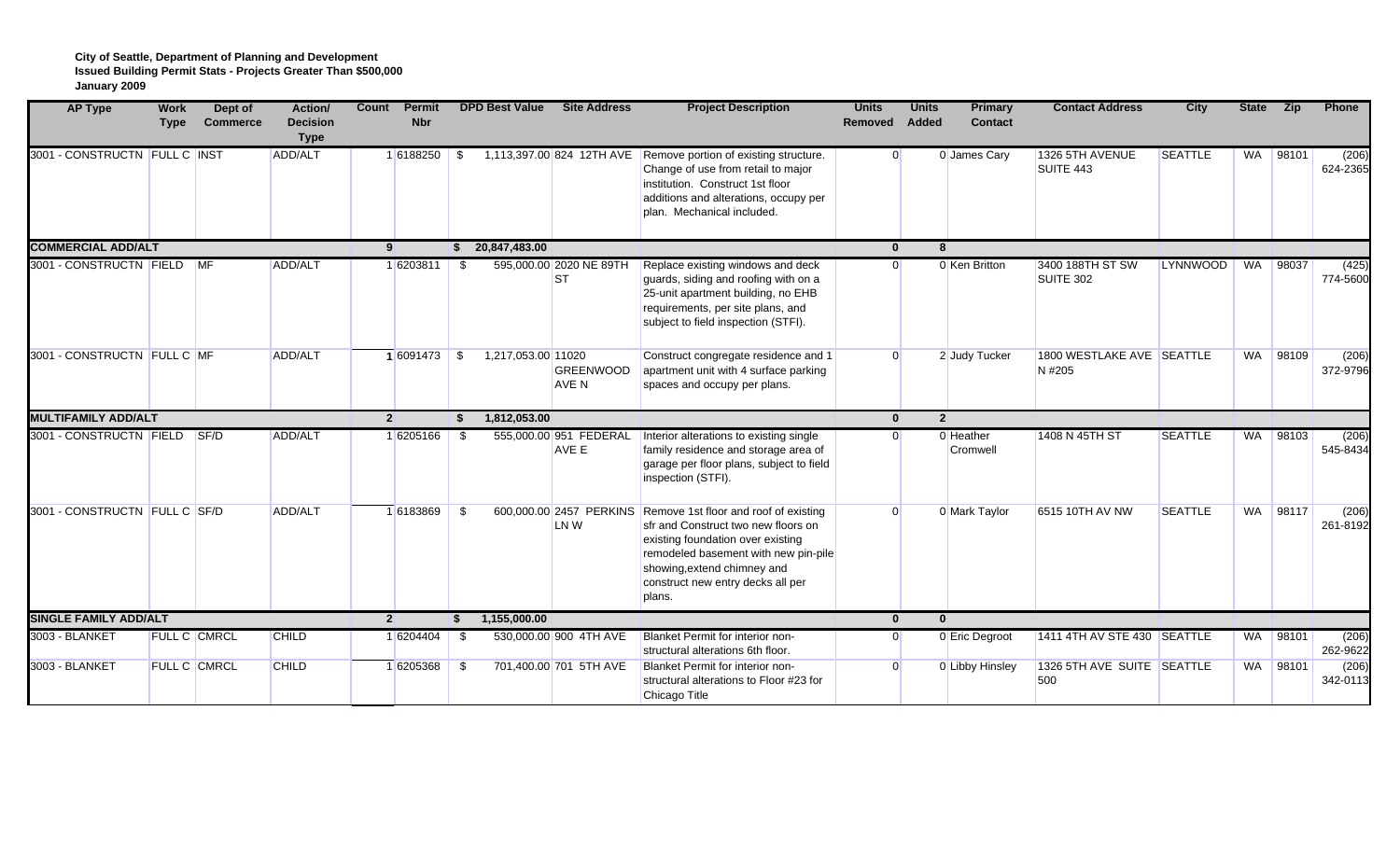| <b>AP Type</b>                | <b>Work</b><br><b>Type</b> | Dept of<br><b>Commerce</b> | Action/<br><b>Decision</b><br><b>Type</b> | Count          | Permit<br><b>Nbr</b> |      | <b>DPD Best Value</b> | <b>Site Address</b>                  | <b>Project Description</b>                                                                                                                                                                                                                                      | <b>Units</b><br>Removed | <b>Units</b><br>Added | <b>Primary</b><br><b>Contact</b> | <b>Contact Address</b>              | <b>City</b>     | <b>State</b> | <b>Zip</b> | Phone             |
|-------------------------------|----------------------------|----------------------------|-------------------------------------------|----------------|----------------------|------|-----------------------|--------------------------------------|-----------------------------------------------------------------------------------------------------------------------------------------------------------------------------------------------------------------------------------------------------------------|-------------------------|-----------------------|----------------------------------|-------------------------------------|-----------------|--------------|------------|-------------------|
| 3001 - CONSTRUCTN FULL C INST |                            |                            | ADD/ALT                                   |                | 16188250             | - \$ |                       |                                      | 1,113,397.00 824 12TH AVE Remove portion of existing structure.<br>Change of use from retail to major<br>institution. Construct 1st floor<br>additions and alterations, occupy per<br>plan. Mechanical included.                                                | 0                       |                       | 0 James Cary                     | 1326 5TH AVENUE<br>SUITE 443        | <b>SEATTLE</b>  | WA           | 98101      | (206)<br>624-2365 |
| <b>COMMERCIAL ADD/ALT</b>     |                            |                            |                                           | 9              |                      |      | 20,847,483.00         |                                      |                                                                                                                                                                                                                                                                 | $\mathbf{0}$            | 8                     |                                  |                                     |                 |              |            |                   |
| 3001 - CONSTRUCTN FIELD MF    |                            |                            | ADD/ALT                                   |                | 16203811             | - \$ |                       | 595,000.00 2020 NE 89TH<br><b>ST</b> | Replace existing windows and deck<br>guards, siding and roofing with on a<br>25-unit apartment building, no EHB<br>requirements, per site plans, and<br>subject to field inspection (STFI).                                                                     | $\overline{0}$          |                       | 0 Ken Britton                    | 3400 188TH ST SW<br>SUITE 302       | <b>LYNNWOOD</b> | WA           | 98037      | (425)<br>774-5600 |
| 3001 - CONSTRUCTN FULL C MF   |                            |                            | ADD/ALT                                   |                | $16091473$ \$        |      | 1,217,053.00 11020    | <b>GREENWOOD</b><br>AVE N            | Construct congregate residence and 1<br>apartment unit with 4 surface parking<br>spaces and occupy per plans.                                                                                                                                                   | $\overline{0}$          |                       | 2 Judy Tucker                    | 1800 WESTLAKE AVE SEATTLE<br>N #205 |                 | WA           | 98109      | (206)<br>372-9796 |
| <b>MULTIFAMILY ADD/ALT</b>    |                            |                            |                                           | $\overline{2}$ |                      | s.   | 1,812,053.00          |                                      |                                                                                                                                                                                                                                                                 | $\mathbf{0}$            | $\overline{2}$        |                                  |                                     |                 |              |            |                   |
| 3001 - CONSTRUCTN FIELD       |                            | SF/D                       | ADD/ALT                                   |                | 16205166             | - \$ |                       | 555,000.00 951 FEDERAL<br>AVE E      | Interior alterations to existing single<br>family residence and storage area of<br>garage per floor plans, subject to field<br>inspection (STFI).                                                                                                               | $\overline{0}$          |                       | 0 Heather<br>Cromwell            | 1408 N 45TH ST                      | <b>SEATTLE</b>  | <b>WA</b>    | 98103      | (206)<br>545-8434 |
| 3001 - CONSTRUCTN FULL C SF/D |                            |                            | ADD/ALT                                   |                | 16183869             | - \$ |                       | LN W                                 | 600,000,00 2457 PERKINS Remove 1st floor and roof of existing<br>sfr and Construct two new floors on<br>existing foundation over existing<br>remodeled basement with new pin-pile<br>showing, extend chimney and<br>construct new entry decks all per<br>plans. | $\Omega$                |                       | 0 Mark Taylor                    | 6515 10TH AV NW                     | <b>SEATTLE</b>  | WA           | 98117      | (206)<br>261-8192 |
| <b>SINGLE FAMILY ADD/ALT</b>  |                            |                            |                                           | $\overline{2}$ |                      |      | 1,155,000.00          |                                      |                                                                                                                                                                                                                                                                 | $\mathbf{0}$            | $\mathbf{0}$          |                                  |                                     |                 |              |            |                   |
| 3003 - BLANKET                |                            | <b>FULL C CMRCL</b>        | <b>CHILD</b>                              |                | 1 6204404            | - \$ |                       | 530,000,00 900 4TH AVE               | Blanket Permit for interior non-<br>structural alterations 6th floor.                                                                                                                                                                                           | $\overline{0}$          |                       | 0 Eric Degroot                   | 1411 4TH AV STE 430 SEATTLE         |                 |              | WA 98101   | (206)<br>262-9622 |
| 3003 - BLANKET                |                            | <b>FULL C CMRCL</b>        | CHILD                                     |                | 16205368             | - \$ |                       | 701,400.00 701 5TH AVE               | Blanket Permit for interior non-<br>structural alterations to Floor #23 for<br>Chicago Title                                                                                                                                                                    | $\overline{0}$          |                       | 0 Libby Hinsley                  | 1326 5TH AVE SUITE SEATTLE<br>500   |                 | WA           | 98101      | (206)<br>342-0113 |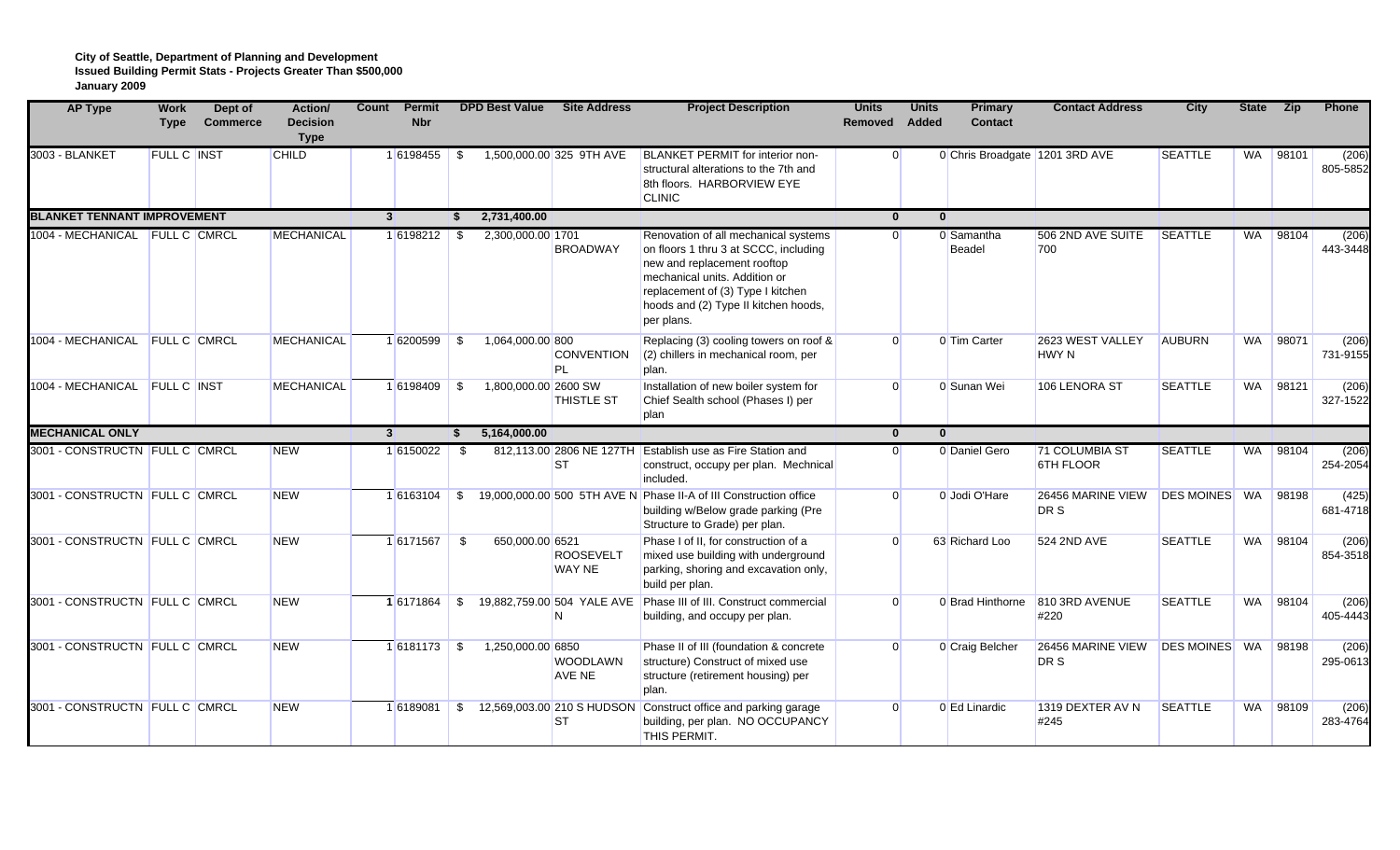| <b>AP Type</b>                     | <b>Work</b><br><b>Type</b> | Dept of<br><b>Commerce</b> | Action/<br><b>Decision</b><br><b>Type</b> | Count          | <b>Permit</b><br><b>Nbr</b> |      | <b>DPD Best Value</b> | <b>Site Address</b>                   | <b>Project Description</b>                                                                                                                                                                                                               | <b>Units</b><br>Removed | <b>Units</b><br>Added | <b>Primary</b><br><b>Contact</b> | <b>Contact Address</b>             | <b>City</b>          | <b>State</b> | <b>Zip</b> | Phone             |
|------------------------------------|----------------------------|----------------------------|-------------------------------------------|----------------|-----------------------------|------|-----------------------|---------------------------------------|------------------------------------------------------------------------------------------------------------------------------------------------------------------------------------------------------------------------------------------|-------------------------|-----------------------|----------------------------------|------------------------------------|----------------------|--------------|------------|-------------------|
| 3003 - BLANKET                     | FULL C INST                |                            | <b>CHILD</b>                              |                | 16198455                    | \$   |                       | 1,500,000.00 325 9TH AVE              | <b>BLANKET PERMIT for interior non-</b><br>structural alterations to the 7th and<br>8th floors. HARBORVIEW EYE<br><b>CLINIC</b>                                                                                                          | $\overline{0}$          |                       | 0 Chris Broadgate 1201 3RD AVE   |                                    | <b>SEATTLE</b>       | WA           | 98101      | (206)<br>805-5852 |
| <b>BLANKET TENNANT IMPROVEMENT</b> |                            |                            |                                           | 3 <sup>1</sup> |                             | S.   | 2,731,400.00          |                                       |                                                                                                                                                                                                                                          | $\mathbf{0}$            |                       | $\mathbf{0}$                     |                                    |                      |              |            |                   |
| 1004 - MECHANICAL FULL C CMRCL     |                            |                            | <b>MECHANICAL</b>                         |                | 16198212                    | - \$ | 2,300,000.00 1701     | <b>BROADWAY</b>                       | Renovation of all mechanical systems<br>on floors 1 thru 3 at SCCC, including<br>new and replacement rooftop<br>mechanical units. Addition or<br>replacement of (3) Type I kitchen<br>hoods and (2) Type II kitchen hoods,<br>per plans. | $\overline{0}$          |                       | 0 Samantha<br><b>Beadel</b>      | 506 2ND AVE SUITE<br>700           | <b>SEATTLE</b>       | WA           | 98104      | (206)<br>443-3448 |
| 1004 - MECHANICAL FULL C CMRCL     |                            |                            | <b>MECHANICAL</b>                         |                | 16200599 \$                 |      | 1,064,000.00 800      | <b>CONVENTION</b><br>PL               | Replacing (3) cooling towers on roof &<br>(2) chillers in mechanical room, per<br>plan.                                                                                                                                                  | $\overline{0}$          |                       | 0 Tim Carter                     | 2623 WEST VALLEY<br><b>HWY N</b>   | <b>AUBURN</b>        |              | WA 98071   | (206)<br>731-9155 |
| 1004 - MECHANICAL FULL C INST      |                            |                            | <b>MECHANICAL</b>                         |                | 16198409 \$                 |      | 1,800,000.00 2600 SW  | <b>THISTLE ST</b>                     | Installation of new boiler system for<br>Chief Sealth school (Phases I) per<br>plan                                                                                                                                                      | $\Omega$                |                       | 0 Sunan Wei                      | 106 LENORA ST                      | <b>SEATTLE</b>       |              | WA 98121   | (206)<br>327-1522 |
| <b>MECHANICAL ONLY</b>             |                            |                            |                                           | 3 <sup>1</sup> |                             | \$   | 5,164,000.00          |                                       |                                                                                                                                                                                                                                          | $\mathbf{0}$            |                       | $\mathbf{0}$                     |                                    |                      |              |            |                   |
| 3001 - CONSTRUCTN FULL C CMRCL     |                            |                            | <b>NEW</b>                                |                | 16150022                    | - \$ |                       | 812.113.00 2806 NE 127TH<br><b>ST</b> | Establish use as Fire Station and<br>construct, occupy per plan. Mechnical<br>included.                                                                                                                                                  | $\Omega$                |                       | 0 Daniel Gero                    | <b>71 COLUMBIA ST</b><br>6TH FLOOR | <b>SEATTLE</b>       | <b>WA</b>    | 98104      | (206)<br>254-2054 |
| 3001 - CONSTRUCTN FULL C CMRCL     |                            |                            | <b>NEW</b>                                |                | 16163104                    | \$   |                       |                                       | 19,000,000.00 500 5TH AVE N Phase II-A of III Construction office<br>building w/Below grade parking (Pre<br>Structure to Grade) per plan.                                                                                                | $\Omega$                |                       | 0 Jodi O'Hare                    | 26456 MARINE VIEW<br>DR S          | <b>DES MOINES</b> WA |              | 98198      | (425)<br>681-4718 |
| 3001 - CONSTRUCTN FULL C CMRCL     |                            |                            | <b>NEW</b>                                |                | 16171567                    | \$   | 650,000.00 6521       | <b>ROOSEVELT</b><br><b>WAY NE</b>     | Phase I of II, for construction of a<br>mixed use building with underground<br>parking, shoring and excavation only,<br>build per plan.                                                                                                  | $\overline{0}$          |                       | 63 Richard Loo                   | 524 2ND AVE                        | <b>SEATTLE</b>       |              | WA 98104   | (206)<br>854-3518 |
| 3001 - CONSTRUCTN FULL C CMRCL     |                            |                            | <b>NEW</b>                                |                | 16171864                    | \$   |                       | 19,882,759.00 504 YALE AVE<br>N       | Phase III of III. Construct commercial<br>building, and occupy per plan.                                                                                                                                                                 | $\Omega$                |                       | 0 Brad Hinthorne                 | 810 3RD AVENUE<br>#220             | <b>SEATTLE</b>       | <b>WA</b>    | 98104      | (206)<br>405-4443 |
| 3001 - CONSTRUCTN FULL C CMRCL     |                            |                            | <b>NEW</b>                                |                | $16181173$ \$               |      | 1,250,000.00 6850     | <b>WOODLAWN</b><br>AVE NE             | Phase II of III (foundation & concrete<br>structure) Construct of mixed use<br>structure (retirement housing) per<br>plan.                                                                                                               | $\Omega$                |                       | 0 Craig Belcher                  | 26456 MARINE VIEW<br>DR S          | DES MOINES WA        |              | 98198      | (206)<br>295-0613 |
| 3001 - CONSTRUCTN FULL C CMRCL     |                            |                            | <b>NEW</b>                                |                | 16189081                    | \$   |                       | <b>ST</b>                             | 12,569,003.00 210 S HUDSON Construct office and parking garage<br>building, per plan. NO OCCUPANCY<br>THIS PERMIT.                                                                                                                       | $\Omega$                |                       | 0 Ed Linardic                    | 1319 DEXTER AV N<br>#245           | <b>SEATTLE</b>       | WA           | 98109      | (206)<br>283-4764 |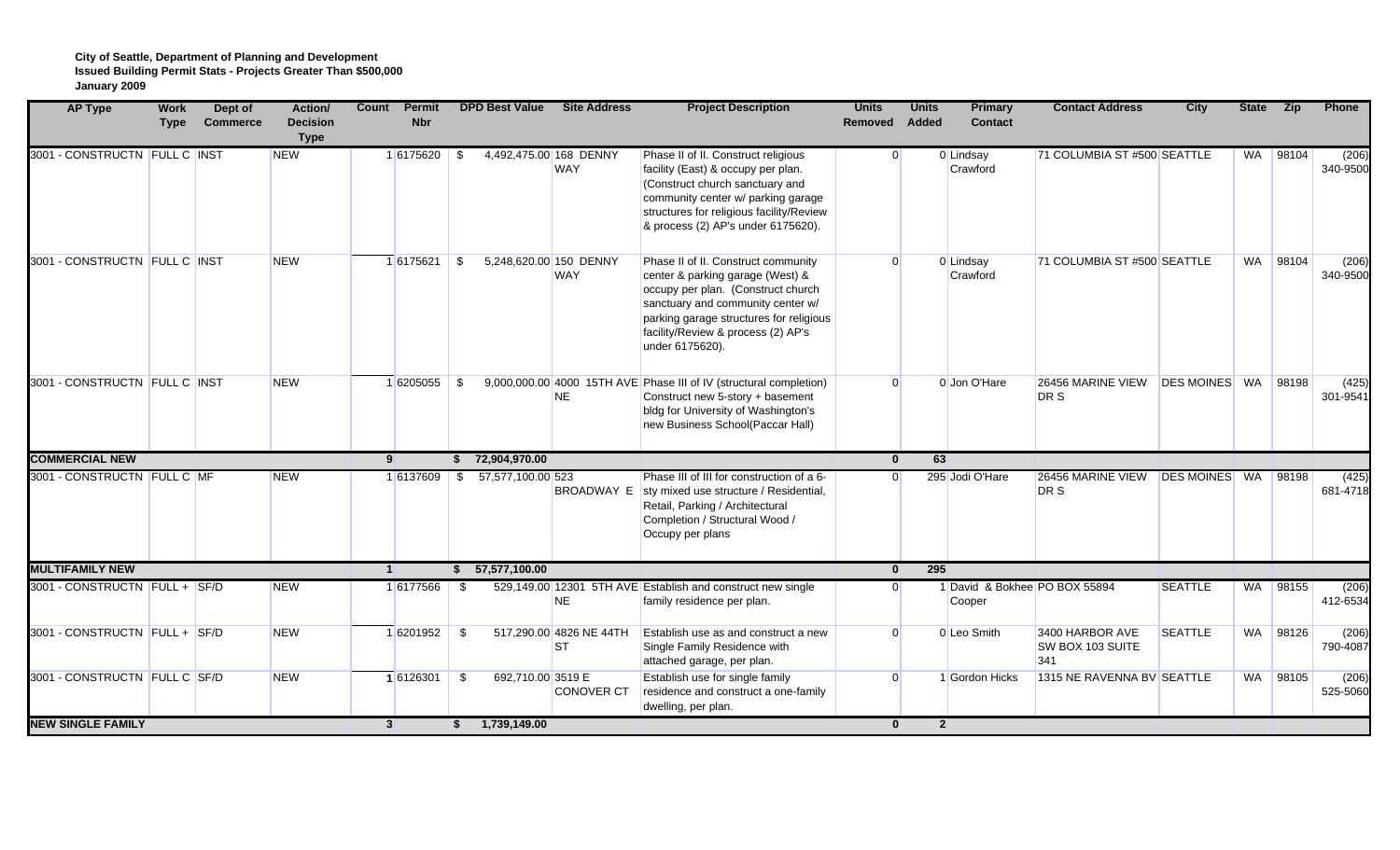**City of Seattle, Department of Planning and Development Issued Building Permit Stats - Projects Greater Than \$500,000 January 2009**

| <b>AP Type</b>                | <b>Work</b><br><b>Type</b> | Dept of<br><b>Commerce</b> | Action/<br><b>Decision</b><br><b>Type</b> | Count          | <b>Permit</b><br><b>Nbr</b> | <b>DPD Best Value</b> | <b>Site Address</b>                    | <b>Project Description</b>                                                                                                                                                                                                                             | <b>Units</b><br>Removed Added | <b>Units</b> | Primary<br><b>Contact</b>               | <b>Contact Address</b>                     | City                 | <b>State</b> | Zip      | Phone             |
|-------------------------------|----------------------------|----------------------------|-------------------------------------------|----------------|-----------------------------|-----------------------|----------------------------------------|--------------------------------------------------------------------------------------------------------------------------------------------------------------------------------------------------------------------------------------------------------|-------------------------------|--------------|-----------------------------------------|--------------------------------------------|----------------------|--------------|----------|-------------------|
| 3001 - CONSTRUCTN FULL C INST |                            |                            | <b>NEW</b>                                |                | 16175620                    | - \$                  | 4,492,475.00 168 DENNY<br><b>WAY</b>   | Phase II of II. Construct religious<br>facility (East) & occupy per plan.<br>(Construct church sanctuary and<br>community center w/ parking garage<br>structures for religious facility/Review<br>& process (2) AP's under 6175620).                   | $\overline{0}$                |              | 0 Lindsay<br>Crawford                   | 71 COLUMBIA ST #500 SEATTLE                |                      | WA           | 98104    | (206)<br>340-9500 |
| 3001 - CONSTRUCTN FULL C INST |                            |                            | <b>NEW</b>                                |                | 16175621 \$                 |                       | 5,248,620.00 150 DENNY<br><b>WAY</b>   | Phase II of II. Construct community<br>center & parking garage (West) &<br>occupy per plan. (Construct church<br>sanctuary and community center w/<br>parking garage structures for religious<br>facility/Review & process (2) AP's<br>under 6175620). | $\Omega$                      |              | 0 Lindsay<br>Crawford                   | 71 COLUMBIA ST #500 SEATTLE                |                      |              | WA 98104 | (206)<br>340-9500 |
| 3001 - CONSTRUCTN FULL C INST |                            |                            | <b>NEW</b>                                |                | 16205055                    | - \$                  | <b>NE</b>                              | 9,000,000.00 4000 15TH AVE Phase III of IV (structural completion)<br>Construct new 5-story + basement<br>bldg for University of Washington's<br>new Business School(Paccar Hall)                                                                      | $\Omega$                      |              | 0 Jon O'Hare                            | 26456 MARINE VIEW<br>DR S                  | <b>DES MOINES</b>    | WA           | 98198    | (425)<br>301-9541 |
| <b>COMMERCIAL NEW</b>         |                            |                            |                                           | 9 <sup>1</sup> |                             | \$72,904,970.00       |                                        |                                                                                                                                                                                                                                                        | $\mathbf{0}$                  | 63           |                                         |                                            |                      |              |          |                   |
| 3001 - CONSTRUCTN FULL C MF   |                            |                            | <b>NEW</b>                                |                | 16137609 \$                 | 57,577,100.00 523     |                                        | Phase III of III for construction of a 6-<br>BROADWAY E sty mixed use structure / Residential,<br>Retail, Parking / Architectural<br>Completion / Structural Wood /<br>Occupy per plans                                                                | $\Omega$                      |              | 295 Jodi O'Hare                         | 26456 MARINE VIEW<br>DR S                  | <b>DES MOINES</b> WA |              | 98198    | (425)<br>681-4718 |
| <b>MULTIFAMILY NEW</b>        |                            |                            |                                           | $\mathbf{1}$   |                             | 57,577,100.00         |                                        |                                                                                                                                                                                                                                                        | $\mathbf{0}$                  | 295          |                                         |                                            |                      |              |          |                   |
| 3001 - CONSTRUCTN FULL + SF/D |                            |                            | <b>NEW</b>                                |                | 16177566                    | - \$                  | <b>NE</b>                              | 529,149.00 12301 5TH AVE Establish and construct new single<br>family residence per plan.                                                                                                                                                              | $\Omega$                      |              | 1 David & Bokhee PO BOX 55894<br>Cooper |                                            | <b>SEATTLE</b>       | WA           | 98155    | (206)<br>412-6534 |
| 3001 - CONSTRUCTN FULL + SF/D |                            |                            | <b>NEW</b>                                |                | 16201952                    | - \$                  | 517,290.00 4826 NE 44TH<br><b>ST</b>   | Establish use as and construct a new<br>Single Family Residence with<br>attached garage, per plan.                                                                                                                                                     | $\Omega$                      |              | 0 Leo Smith                             | 3400 HARBOR AVE<br>SW BOX 103 SUITE<br>341 | <b>SEATTLE</b>       |              | WA 98126 | (206)<br>790-4087 |
| 3001 - CONSTRUCTN FULL C SF/D |                            |                            | <b>NEW</b>                                |                | 16126301                    | - \$                  | 692,710.00 3519 E<br><b>CONOVER CT</b> | Establish use for single family<br>residence and construct a one-family<br>dwelling, per plan.                                                                                                                                                         | $\Omega$                      |              | 1 Gordon Hicks                          | 1315 NE RAVENNA BV SEATTLE                 |                      | WA           | 98105    | (206)<br>525-5060 |
| <b>NEW SINGLE FAMILY</b>      |                            |                            |                                           | 3 <sup>1</sup> |                             | 1,739,149.00<br>\$.   |                                        |                                                                                                                                                                                                                                                        | $\mathbf{0}$                  |              | $\overline{2}$                          |                                            |                      |              |          |                   |